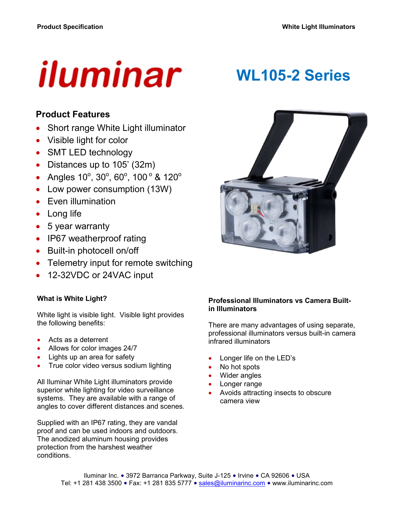# iluminar

# **WL105-2 Series**

### **Product Features**

- Short range White Light illuminator
- Visible light for color
- SMT LED technology
- Distances up to 105' (32m)
- Angles  $10^{\circ}$ ,  $30^{\circ}$ ,  $60^{\circ}$ ,  $100^{\circ}$  &  $120^{\circ}$
- Low power consumption (13W)
- Even illumination
- Long life
- 5 year warranty
- IP67 weatherproof rating
- Built-in photocell on/off
- Telemetry input for remote switching
- 12-32VDC or 24VAC input

#### **What is White Light?**

White light is visible light. Visible light provides the following benefits:

- Acts as a deterrent
- Allows for color images 24/7
- Lights up an area for safety
- True color video versus sodium lighting

All Iluminar White Light illuminators provide superior white lighting for video surveillance systems. They are available with a range of angles to cover different distances and scenes.

Supplied with an IP67 rating, they are vandal proof and can be used indoors and outdoors. The anodized aluminum housing provides protection from the harshest weather conditions.



#### **Professional Illuminators vs Camera Builtin Illuminators**

There are many advantages of using separate, professional illuminators versus built-in camera infrared illuminators

- Longer life on the LED's
- No hot spots
- Wider angles
- Longer range
- Avoids attracting insects to obscure camera view